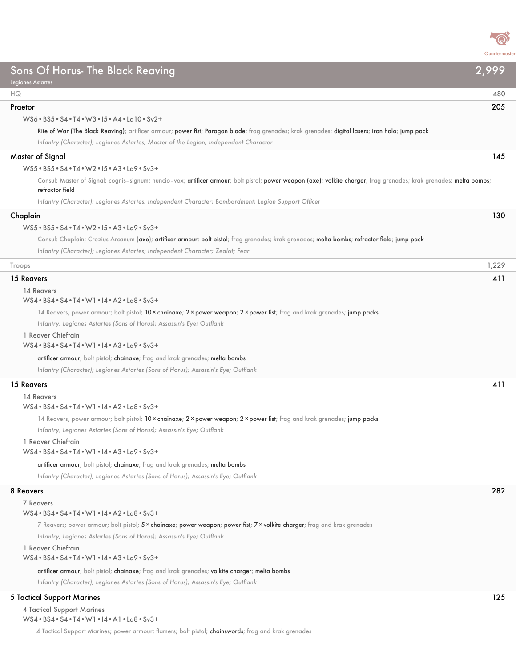

## Sons Of Horus- The Black Reaving 2,999 Legiones Astartes HQ 480 Praetor 205 WS6•BS5•S4•T4•W3•I5•A4•Ld10•Sv2+ Rite of War (The Black Reaving); artificer armour; power fist; Paragon blade; frag grenades; krak grenades; digital lasers; iron halo; jump pack *Infantry (Character); Legiones Astartes; Master of the Legion; Independent Character* Master of Signal 145 WS5•BS5•S4•T4•W2•I5•A3•Ld9•Sv3+ Consul: Master of Signal; cognis-signum; nuncio-vox; artificer armour; bolt pistol; power weapon (axe); volkite charger; frag grenades; krak grenades; melta bombs; refractor field *Infantry (Character); Legiones Astartes; Independent Character; Bombardment; Legion Support Officer* Chaplain 130 WS5•BS5•S4•T4•W2•I5•A3•Ld9•Sv3+ Consul: Chaplain; Crozius Arcanum (axe); artificer armour; bolt pistol; frag grenades; krak grenades; melta bombs; refractor field; jump pack *Infantry (Character); Legiones Astartes; Independent Character; Zealot; Fear* Troops 1,229 15 Reavers 411 14 Reavers WS4•BS4•S4•T4•W1•I4•A2•Ld8•Sv3+ 14 Reavers; power armour; bolt pistol; 10 × chainaxe; 2 × power weapon; 2 × power fist; frag and krak grenades; jump packs *Infantry; Legiones Astartes (Sons of Horus); Assassin's Eye; Outflank* 1 Reaver Chieftain WS4•BS4•S4•T4•W1•I4•A3•Ld9•Sv3+ artificer armour; bolt pistol; chainaxe; frag and krak grenades; melta bombs *Infantry (Character); Legiones Astartes (Sons of Horus); Assassin's Eye; Outflank* 15 Reavers 411 14 Reavers WS4•BS4•S4•T4•W1•I4•A2•Ld8•Sv3+ 14 Reavers; power armour; bolt pistol; 10 × chainaxe; 2 × power weapon; 2 × power fist; frag and krak grenades; jump packs *Infantry; Legiones Astartes (Sons of Horus); Assassin's Eye; Outflank* 1 Reaver Chieftain WS4•BS4•S4•T4•W1•I4•A3•Ld9•Sv3+ artificer armour; bolt pistol; chainaxe; frag and krak grenades; melta bombs *Infantry (Character); Legiones Astartes (Sons of Horus); Assassin's Eye; Outflank* 8 Reavers 282 7 Reavers WS4•BS4•S4•T4•W1•I4•A2•Ld8•Sv3+ 7 Reavers; power armour; bolt pistol; 5 x chainaxe; power weapon; power fist; 7 x volkite charger; frag and krak grenades *Infantry; Legiones Astartes (Sons of Horus); Assassin's Eye; Outflank* 1 Reaver Chieftain WS4•BS4•S4•T4•W1•I4•A3•Ld9•Sv3+ artificer armour; bolt pistol; chainaxe; frag and krak grenades; volkite charger; melta bombs *Infantry (Character); Legiones Astartes (Sons of Horus); Assassin's Eye; Outflank* 5 Tactical Support Marines 125 4 Tactical Support Marines

WS4•BS4•S4•T4•W1•I4•A1•Ld8•Sv3+

4 Tactical Support Marines; power armour; flamers; bolt pistol; chainswords; frag and krak grenades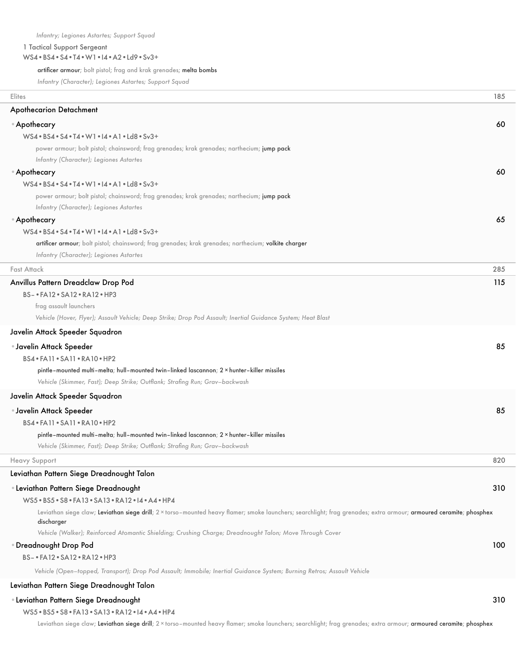## 1 Tactical Support Sergeant

## WS4•BS4•S4•T4•W1•I4•A2•Ld9•Sv3+

artificer armour; bolt pistol; frag and krak grenades; melta bombs

*Infantry (Character); Legiones Astartes; Support Squad*

| Elites                                                                                                                                                              | 185 |
|---------------------------------------------------------------------------------------------------------------------------------------------------------------------|-----|
| <b>Apothecarion Detachment</b>                                                                                                                                      |     |
| ● Apothecary                                                                                                                                                        | 60  |
| WS4 . BS4 . S4 . T4 . W1 . I4 . A1 . Ld8 . Sv3+                                                                                                                     |     |
| power armour; bolt pistol; chainsword; frag grenades; krak grenades; narthecium; jump pack                                                                          |     |
| Infantry (Character); Legiones Astartes                                                                                                                             |     |
| ● Apothecary                                                                                                                                                        | 60  |
| $WS4 \cdot BS4 \cdot S4 \cdot T4 \cdot W1 \cdot 14 \cdot A1 \cdot Ld8 \cdot Sv3+$                                                                                   |     |
| power armour; bolt pistol; chainsword; frag grenades; krak grenades; narthecium; jump pack                                                                          |     |
| Infantry (Character); Legiones Astartes                                                                                                                             |     |
| ● Apothecary                                                                                                                                                        | 65  |
| $WS4 \cdot BS4 \cdot S4 \cdot T4 \cdot W1 \cdot A \cdot A1 \cdot Ld8 \cdot Sv3+$                                                                                    |     |
| artificer armour; bolt pistol; chainsword; frag grenades; krak grenades; narthecium; volkite charger                                                                |     |
| Infantry (Character); Legiones Astartes                                                                                                                             |     |
| Fast Attack                                                                                                                                                         | 285 |
| Anvillus Pattern Dreadclaw Drop Pod                                                                                                                                 | 115 |
| BS- . FA12 . SA12 . RA12 . HP3                                                                                                                                      |     |
| frag assault launchers                                                                                                                                              |     |
| Vehicle (Hover, Flyer); Assault Vehicle; Deep Strike; Drop Pod Assault; Inertial Guidance System; Heat Blast                                                        |     |
| Javelin Attack Speeder Squadron                                                                                                                                     |     |
| • Javelin Attack Speeder                                                                                                                                            | 85  |
| BS4 · FA11 · SA11 · RA10 · HP2                                                                                                                                      |     |
| pintle-mounted multi-melta; hull-mounted twin-linked lascannon; 2 x hunter-killer missiles                                                                          |     |
| Vehicle (Skimmer, Fast); Deep Strike; Outflank; Strafing Run; Grav-backwash                                                                                         |     |
| Javelin Attack Speeder Squadron                                                                                                                                     |     |
| • Javelin Attack Speeder                                                                                                                                            | 85  |
| BS4 . FA11 . SA11 . RA10 . HP2                                                                                                                                      |     |
| pintle-mounted multi-melta; hull-mounted twin-linked lascannon; $2 \times$ hunter-killer missiles                                                                   |     |
| Vehicle (Skimmer, Fast); Deep Strike; Outflank; Strafing Run; Grav-backwash                                                                                         |     |
| <b>Heavy Support</b>                                                                                                                                                | 820 |
| Leviathan Pattern Siege Dreadnought Talon                                                                                                                           |     |
| • Leviathan Pattern Siege Dreadnought                                                                                                                               | 310 |
| WS5 . BS5 . S8 . FA13 . SA13 . RA12 . 14 . A4 . HP4                                                                                                                 |     |
| Leviathan siege claw; Leviathan siege drill; 2 x torso-mounted heavy flamer; smoke launchers; searchlight; frag grenades; extra armour; armoured ceramite; phosphex |     |
| discharger                                                                                                                                                          |     |
| Vehicle (Walker); Reinforced Atomantic Shielding; Crushing Charge; Dreadnought Talon; Move Through Cover                                                            |     |
| Dreadnought Drop Pod                                                                                                                                                | 100 |
| BS- . FA12 . SA12 . RA12 . HP3                                                                                                                                      |     |
| Vehicle (Open-topped, Transport); Drop Pod Assault; Immobile; Inertial Guidance System; Burning Retros; Assault Vehicle                                             |     |
| Leviathan Pattern Siege Dreadnought Talon                                                                                                                           |     |
| • Leviathan Pattern Siege Dreadnought                                                                                                                               | 310 |
| WS5 . BS5 . S8 . FA13 . SA13 . RA12 . 14 . A4 . HP4                                                                                                                 |     |

Leviathan siege claw; Leviathan siege drill; 2 × torso-mounted heavy flamer; smoke launchers; searchlight; frag grenades; extra armour; armoured ceramite; phosphex